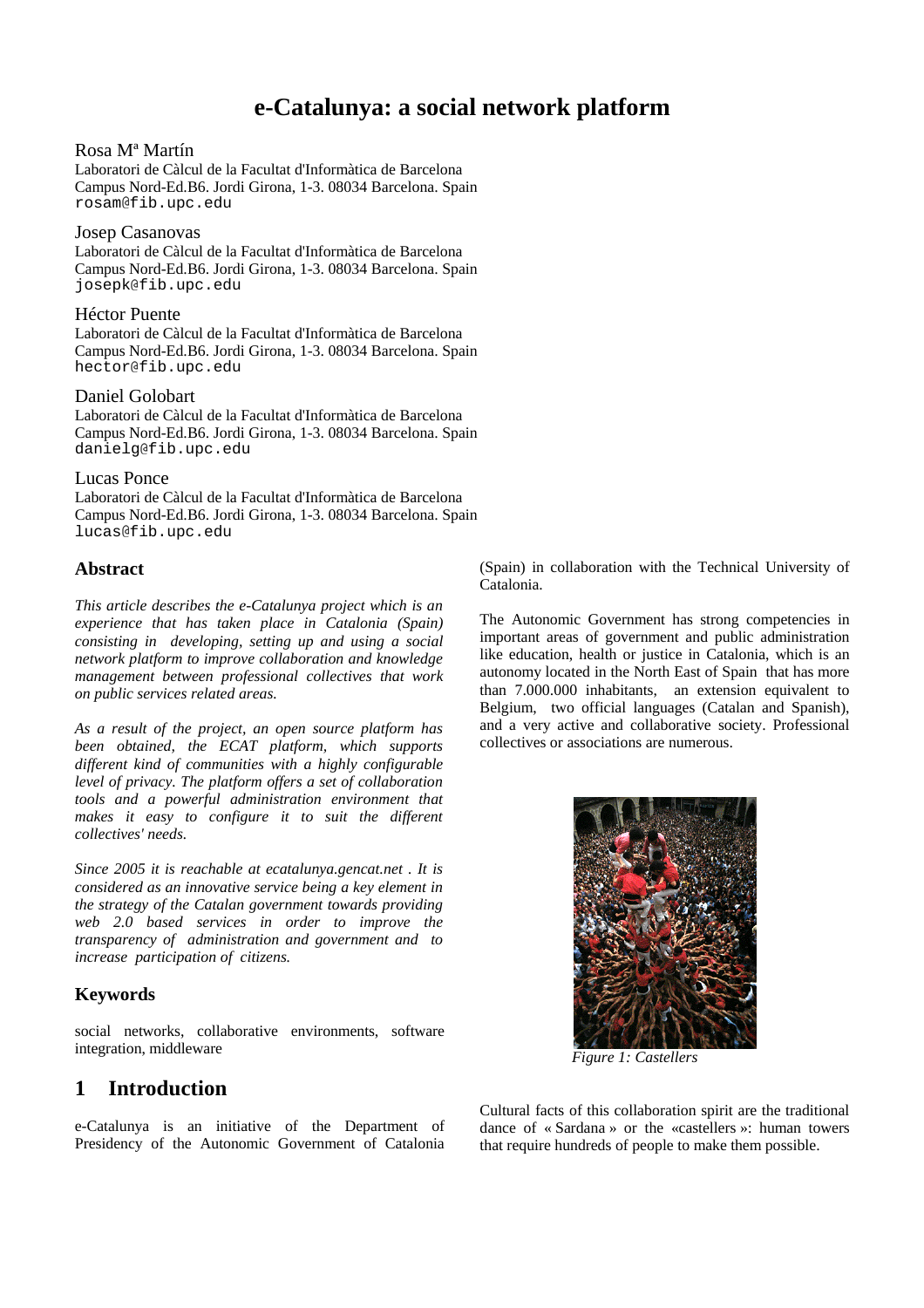# **e-Catalunya: a social network platform**

#### Rosa Mª Martín

Laboratori de Càlcul de la Facultat d'Informàtica de Barcelona Campus Nord-Ed.B6. Jordi Girona, 1-3. 08034 Barcelona. Spain rosam@fib.upc.edu

#### Josep Casanovas

Laboratori de Càlcul de la Facultat d'Informàtica de Barcelona Campus Nord-Ed.B6. Jordi Girona, 1-3. 08034 Barcelona. Spain josepk@fib.upc.edu

#### Héctor Puente

Laboratori de Càlcul de la Facultat d'Informàtica de Barcelona Campus Nord-Ed.B6. Jordi Girona, 1-3. 08034 Barcelona. Spain hector@fib.upc.edu

#### Daniel Golobart

Laboratori de Càlcul de la Facultat d'Informàtica de Barcelona Campus Nord-Ed.B6. Jordi Girona, 1-3. 08034 Barcelona. Spain danielg@fib.upc.edu

#### Lucas Ponce

Laboratori de Càlcul de la Facultat d'Informàtica de Barcelona Campus Nord-Ed.B6. Jordi Girona, 1-3. 08034 Barcelona. Spain lucas@fib.upc.edu

#### **Abstract**

*This article describes the e-Catalunya project which is an experience that has taken place in Catalonia (Spain) consisting in developing, setting up and using a social network platform to improve collaboration and knowledge management between professional collectives that work on public services related areas.*

*As a result of the project, an open source platform has been obtained, the ECAT platform, which supports different kind of communities with a highly configurable level of privacy. The platform offers a set of collaboration tools and a powerful administration environment that makes it easy to configure it to suit the different collectives' needs.*

*Since 2005 it is reachable at ecatalunya.gencat.net . It is considered as an innovative service being a key element in the strategy of the Catalan government towards providing web 2.0 based services in order to improve the transparency of administration and government and to increase participation of citizens.*

### **Keywords**

social networks, collaborative environments, software integration, middleware

# **1 Introduction**

e-Catalunya is an initiative of the Department of Presidency of the Autonomic Government of Catalonia

(Spain) in collaboration with the Technical University of Catalonia.

The Autonomic Government has strong competencies in important areas of government and public administration like education, health or justice in Catalonia, which is an autonomy located in the North East of Spain that has more than 7.000.000 inhabitants, an extension equivalent to Belgium, two official languages (Catalan and Spanish), and a very active and collaborative society. Professional collectives or associations are numerous.



*Figure 1: Castellers*

Cultural facts of this collaboration spirit are the traditional dance of « Sardana » or the «castellers »: human towers that require hundreds of people to make them possible.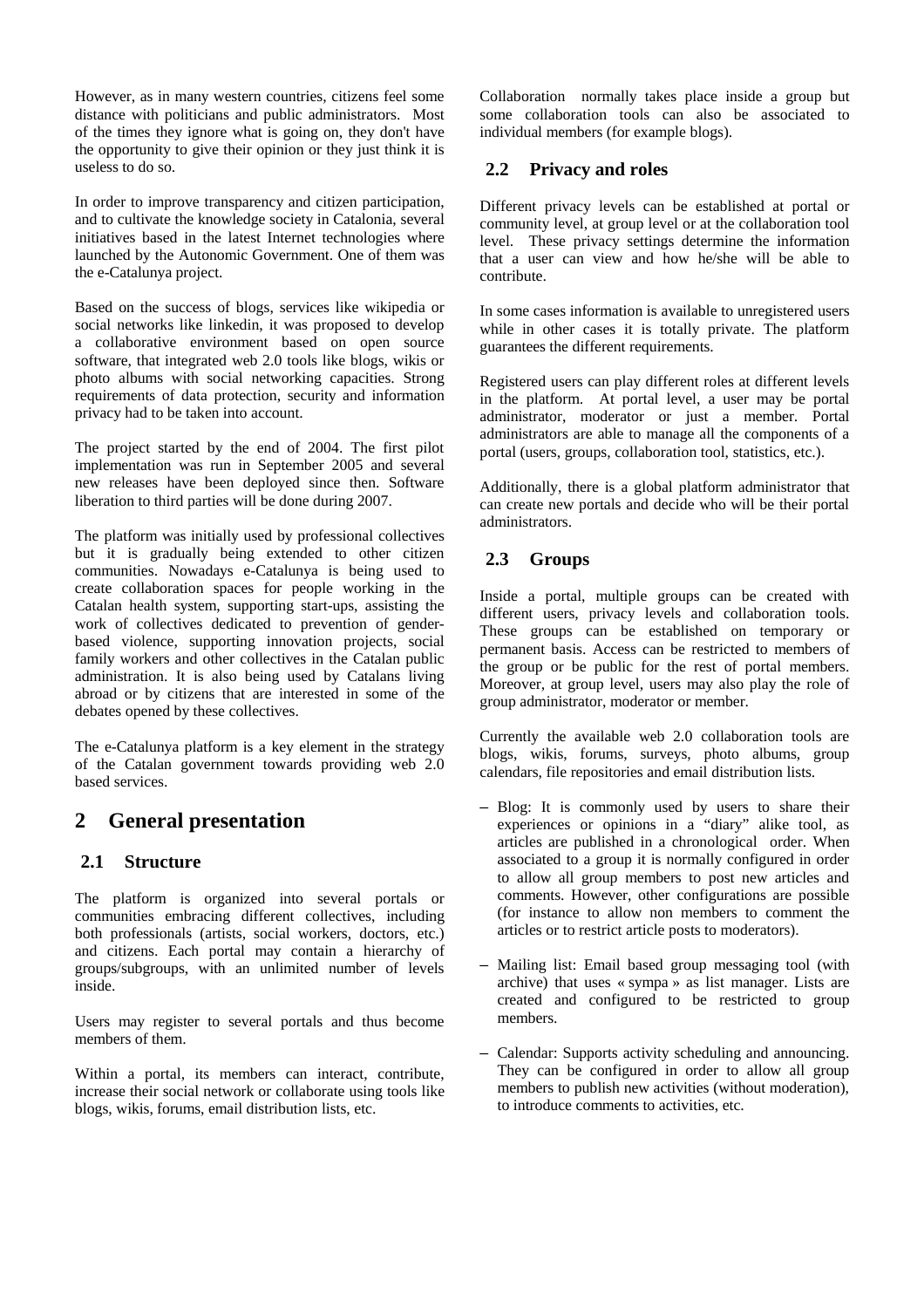However, as in many western countries, citizens feel some distance with politicians and public administrators. Most of the times they ignore what is going on, they don't have the opportunity to give their opinion or they just think it is useless to do so.

In order to improve transparency and citizen participation, and to cultivate the knowledge society in Catalonia, several initiatives based in the latest Internet technologies where launched by the Autonomic Government. One of them was the e-Catalunya project.

Based on the success of blogs, services like wikipedia or social networks like linkedin, it was proposed to develop a collaborative environment based on open source software, that integrated web 2.0 tools like blogs, wikis or photo albums with social networking capacities. Strong requirements of data protection, security and information privacy had to be taken into account.

The project started by the end of 2004. The first pilot implementation was run in September 2005 and several new releases have been deployed since then. Software liberation to third parties will be done during 2007.

The platform was initially used by professional collectives but it is gradually being extended to other citizen communities. Nowadays e-Catalunya is being used to create collaboration spaces for people working in the Catalan health system, supporting start-ups, assisting the work of collectives dedicated to prevention of genderbased violence, supporting innovation projects, social family workers and other collectives in the Catalan public administration. It is also being used by Catalans living abroad or by citizens that are interested in some of the debates opened by these collectives.

The e-Catalunya platform is a key element in the strategy of the Catalan government towards providing web 2.0 based services.

# **2 General presentation**

#### **2.1 Structure**

The platform is organized into several portals or communities embracing different collectives, including both professionals (artists, social workers, doctors, etc.) and citizens. Each portal may contain a hierarchy of groups/subgroups, with an unlimited number of levels inside.

Users may register to several portals and thus become members of them.

Within a portal, its members can interact, contribute, increase their social network or collaborate using tools like blogs, wikis, forums, email distribution lists, etc.

Collaboration normally takes place inside a group but some collaboration tools can also be associated to individual members (for example blogs).

#### **2.2 Privacy and roles**

Different privacy levels can be established at portal or community level, at group level or at the collaboration tool level. These privacy settings determine the information that a user can view and how he/she will be able to contribute.

In some cases information is available to unregistered users while in other cases it is totally private. The platform guarantees the different requirements.

Registered users can play different roles at different levels in the platform. At portal level, a user may be portal administrator, moderator or just a member. Portal administrators are able to manage all the components of a portal (users, groups, collaboration tool, statistics, etc.).

Additionally, there is a global platform administrator that can create new portals and decide who will be their portal administrators.

### **2.3 Groups**

Inside a portal, multiple groups can be created with different users, privacy levels and collaboration tools. These groups can be established on temporary or permanent basis. Access can be restricted to members of the group or be public for the rest of portal members. Moreover, at group level, users may also play the role of group administrator, moderator or member.

Currently the available web 2.0 collaboration tools are blogs, wikis, forums, surveys, photo albums, group calendars, file repositories and email distribution lists.

- Blog: It is commonly used by users to share their experiences or opinions in a "diary" alike tool, as articles are published in a chronological order. When associated to a group it is normally configured in order to allow all group members to post new articles and comments. However, other configurations are possible (for instance to allow non members to comment the articles or to restrict article posts to moderators).
- Mailing list: Email based group messaging tool (with archive) that uses « sympa » as list manager. Lists are created and configured to be restricted to group members.
- Calendar: Supports activity scheduling and announcing. They can be configured in order to allow all group members to publish new activities (without moderation), to introduce comments to activities, etc.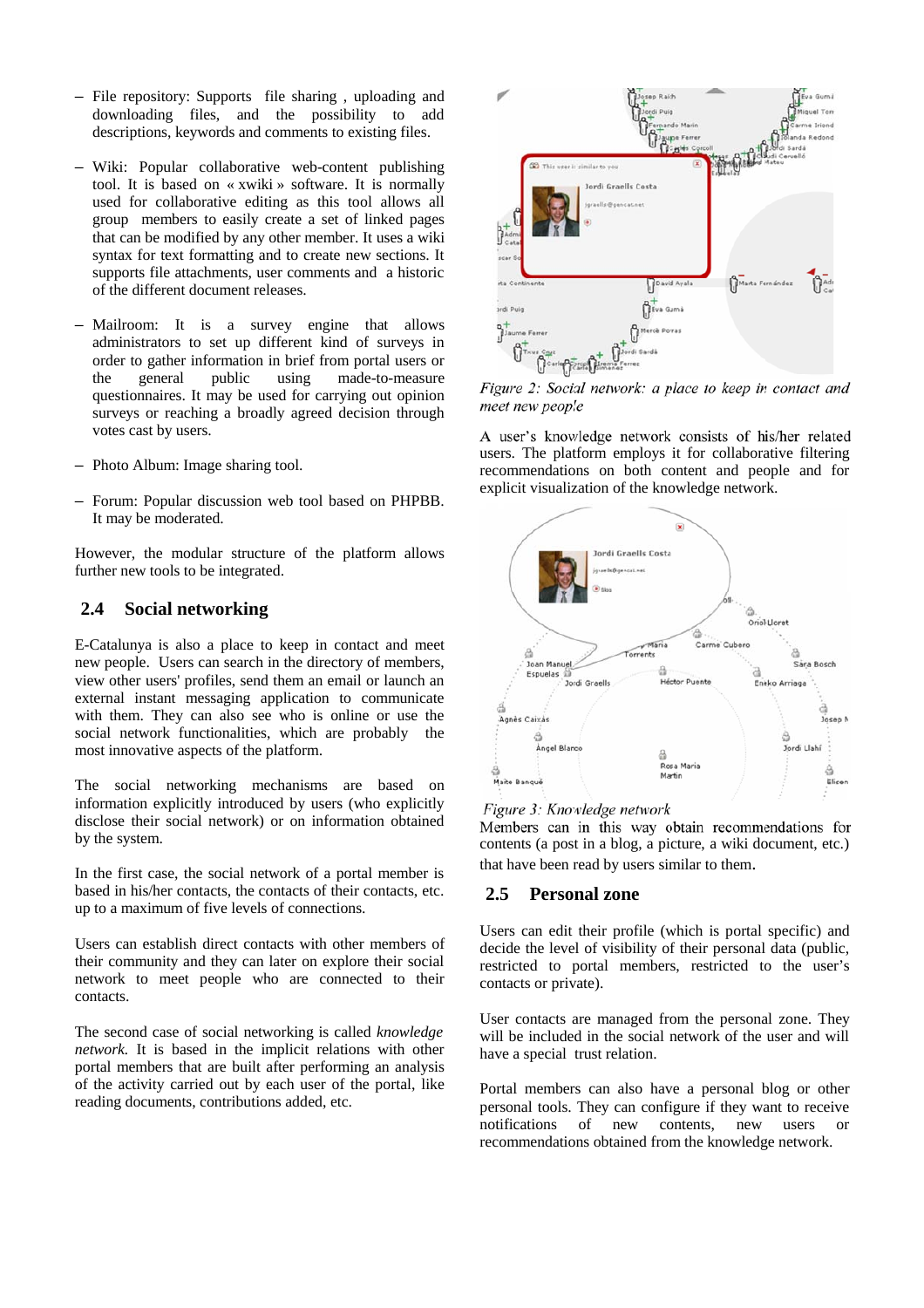- File repository: Supports file sharing , uploading and downloading files, and the possibility to add descriptions, keywords and comments to existing files.
- Wiki: Popular collaborative web-content publishing tool. It is based on « xwiki » software. It is normally used for collaborative editing as this tool allows all group members to easily create a set of linked pages that can be modified by any other member. It uses a wiki syntax for text formatting and to create new sections. It supports file attachments, user comments and a historic of the different document releases.
- Mailroom: It is a survey engine that allows administrators to set up different kind of surveys in order to gather information in brief from portal users or the general public using made-to-measure questionnaires. It may be used for carrying out opinion surveys or reaching a broadly agreed decision through votes cast by users.
- Photo Album: Image sharing tool.
- Forum: Popular discussion web tool based on PHPBB. It may be moderated.

However, the modular structure of the platform allows further new tools to be integrated.

#### **2.4 Social networking**

E-Catalunya is also a place to keep in contact and meet new people. Users can search in the directory of members, view other users' profiles, send them an email or launch an external instant messaging application to communicate with them. They can also see who is online or use the social network functionalities, which are probably the most innovative aspects of the platform.

The social networking mechanisms are based on information explicitly introduced by users (who explicitly disclose their social network) or on information obtained by the system.

In the first case, the social network of a portal member is based in his/her contacts, the contacts of their contacts, etc. up to a maximum of five levels of connections.

Users can establish direct contacts with other members of their community and they can later on explore their social network to meet people who are connected to their contacts.

The second case of social networking is called *knowledge network.* It is based in the implicit relations with other portal members that are built after performing an analysis of the activity carried out by each user of the portal, like reading documents, contributions added, etc.



Figure 2: Social network: a place to keep in contact and meet new people

A user's knowledge network consists of his/her related users. The platform employs it for collaborative filtering recommendations on both content and people and for explicit visualization of the knowledge network.



#### Figure 3: Knowledge network

Members can in this way obtain recommendations for contents (a post in a blog, a picture, a wiki document, etc.) that have been read by users similar to them.

#### **2.5 Personal zone**

Users can edit their profile (which is portal specific) and decide the level of visibility of their personal data (public, restricted to portal members, restricted to the user's contacts or private).

User contacts are managed from the personal zone. They will be included in the social network of the user and will have a special trust relation.

Portal members can also have a personal blog or other personal tools. They can configure if they want to receive notifications of new contents, new users or recommendations obtained from the knowledge network.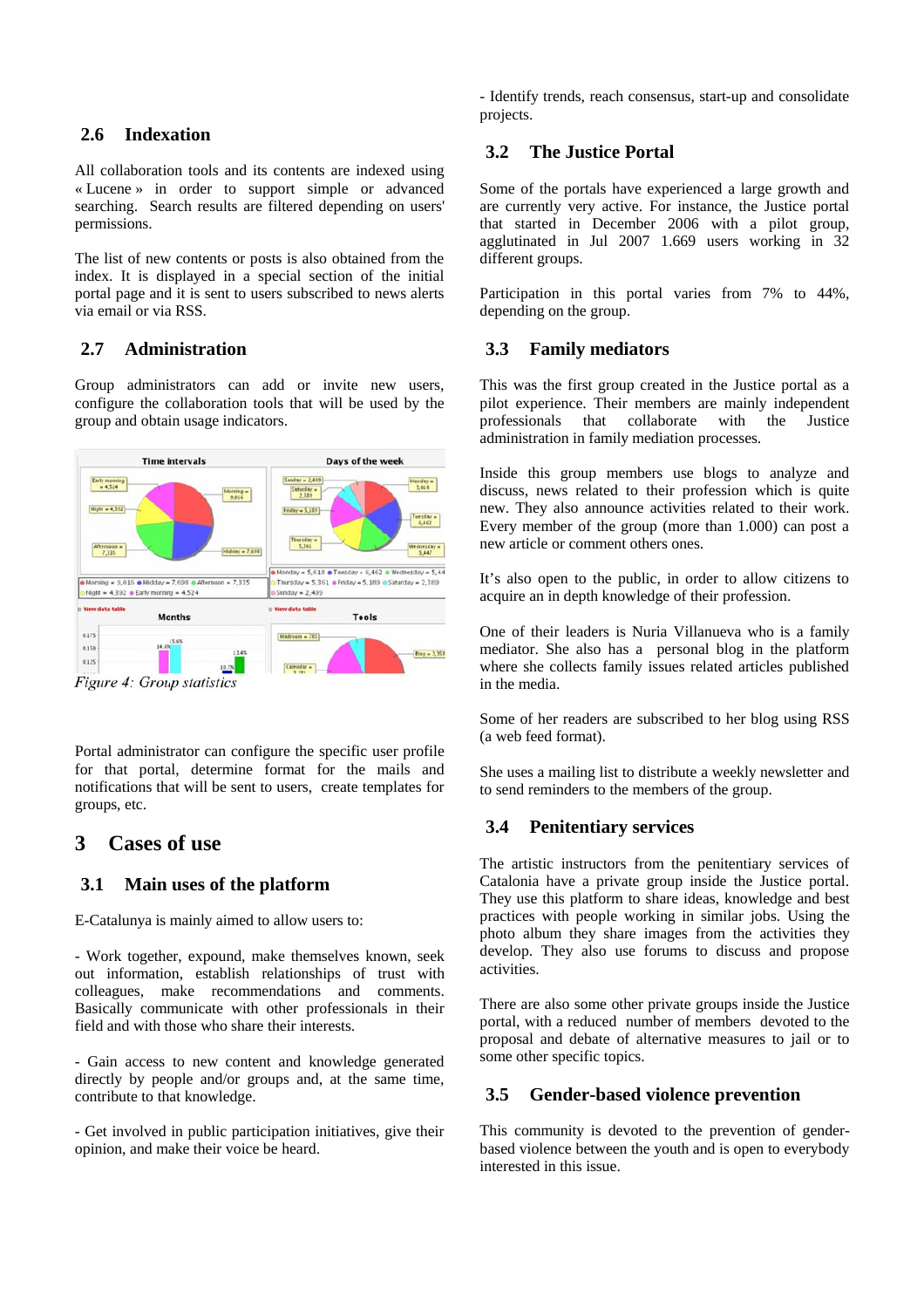### **2.6 Indexation**

All collaboration tools and its contents are indexed using « Lucene » in order to support simple or advanced searching. Search results are filtered depending on users' permissions.

The list of new contents or posts is also obtained from the index. It is displayed in a special section of the initial portal page and it is sent to users subscribed to news alerts via email or via RSS.

### **2.7 Administration**

Group administrators can add or invite new users, configure the collaboration tools that will be used by the group and obtain usage indicators.



Figure 4: Group statistics

Portal administrator can configure the specific user profile for that portal, determine format for the mails and notifications that will be sent to users, create templates for groups, etc.

# **3 Cases of use**

# **3.1 Main uses of the platform**

E-Catalunya is mainly aimed to allow users to:

- Work together, expound, make themselves known, seek out information, establish relationships of trust with colleagues, make recommendations and comments. Basically communicate with other professionals in their field and with those who share their interests.

- Gain access to new content and knowledge generated directly by people and/or groups and, at the same time, contribute to that knowledge.

- Get involved in public participation initiatives, give their opinion, and make their voice be heard.

- Identify trends, reach consensus, start-up and consolidate projects.

# **3.2 The Justice Portal**

Some of the portals have experienced a large growth and are currently very active. For instance, the Justice portal that started in December 2006 with a pilot group, agglutinated in Jul 2007 1.669 users working in 32 different groups.

Participation in this portal varies from 7% to 44%, depending on the group.

### **3.3 Family mediators**

This was the first group created in the Justice portal as a pilot experience. Their members are mainly independent professionals that collaborate with the Justice administration in family mediation processes.

Inside this group members use blogs to analyze and discuss, news related to their profession which is quite new. They also announce activities related to their work. Every member of the group (more than 1.000) can post a new article or comment others ones.

It's also open to the public, in order to allow citizens to acquire an in depth knowledge of their profession.

One of their leaders is Nuria Villanueva who is a family mediator. She also has a personal blog in the platform where she collects family issues related articles published in the media.

Some of her readers are subscribed to her blog using RSS (a web feed format).

She uses a mailing list to distribute a weekly newsletter and to send reminders to the members of the group.

### **3.4 Penitentiary services**

The artistic instructors from the penitentiary services of Catalonia have a private group inside the Justice portal. They use this platform to share ideas, knowledge and best practices with people working in similar jobs. Using the photo album they share images from the activities they develop. They also use forums to discuss and propose activities.

There are also some other private groups inside the Justice portal, with a reduced number of members devoted to the proposal and debate of alternative measures to jail or to some other specific topics.

### **3.5 Gender-based violence prevention**

This community is devoted to the prevention of genderbased violence between the youth and is open to everybody interested in this issue.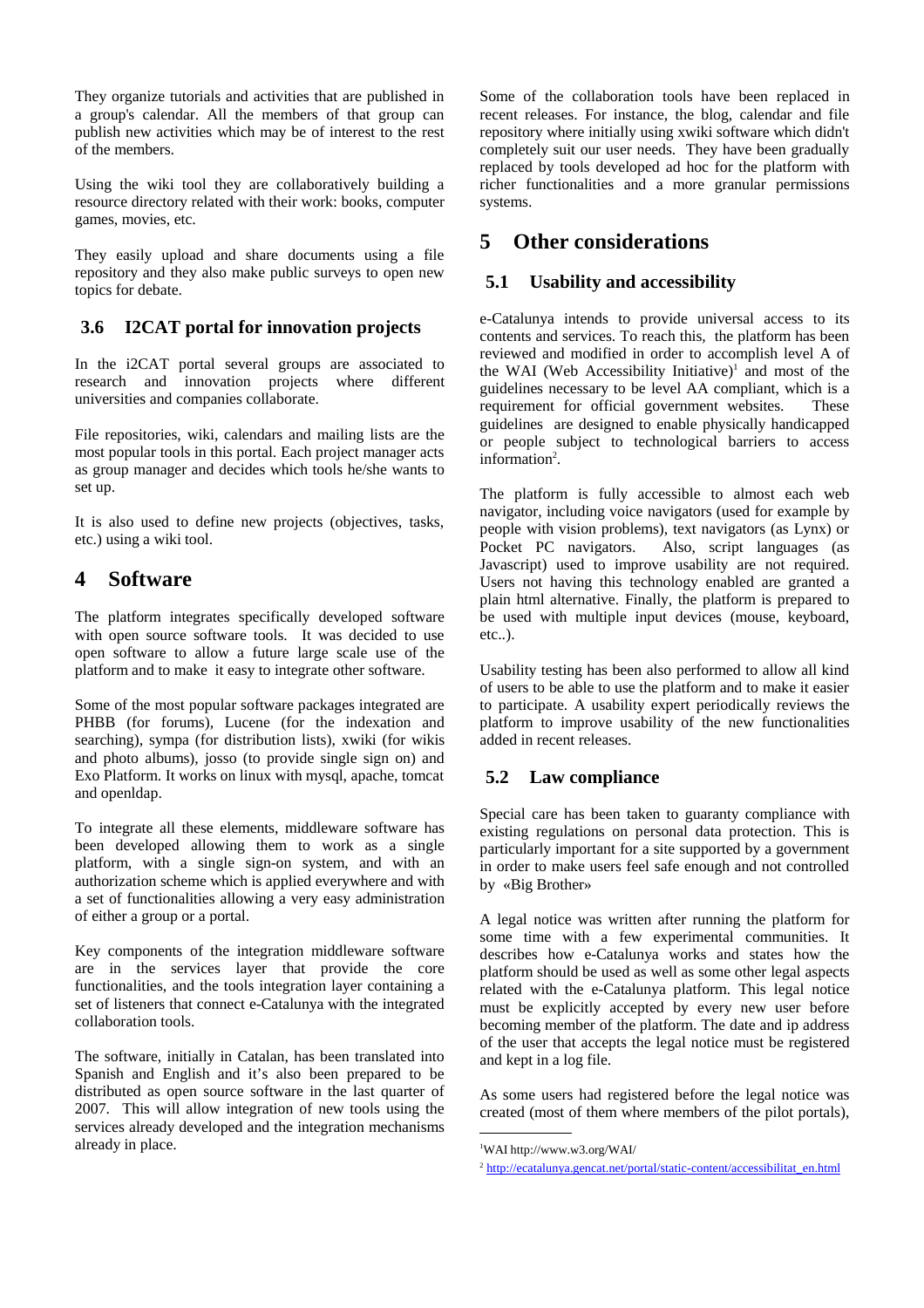They organize tutorials and activities that are published in a group's calendar. All the members of that group can publish new activities which may be of interest to the rest of the members.

Using the wiki tool they are collaboratively building a resource directory related with their work: books, computer games, movies, etc.

They easily upload and share documents using a file repository and they also make public surveys to open new topics for debate.

### **3.6 I2CAT portal for innovation projects**

In the i2CAT portal several groups are associated to research and innovation projects where different universities and companies collaborate.

File repositories, wiki, calendars and mailing lists are the most popular tools in this portal. Each project manager acts as group manager and decides which tools he/she wants to set up.

It is also used to define new projects (objectives, tasks, etc.) using a wiki tool.

# **4 Software**

The platform integrates specifically developed software with open source software tools. It was decided to use open software to allow a future large scale use of the platform and to make it easy to integrate other software.

Some of the most popular software packages integrated are PHBB (for forums), Lucene (for the indexation and searching), sympa (for distribution lists), xwiki (for wikis and photo albums), josso (to provide single sign on) and Exo Platform. It works on linux with mysql, apache, tomcat and openldap.

To integrate all these elements, middleware software has been developed allowing them to work as a single platform, with a single sign-on system, and with an authorization scheme which is applied everywhere and with a set of functionalities allowing a very easy administration of either a group or a portal.

Key components of the integration middleware software are in the services layer that provide the core functionalities, and the tools integration layer containing a set of listeners that connect e-Catalunya with the integrated collaboration tools.

The software, initially in Catalan, has been translated into Spanish and English and it's also been prepared to be distributed as open source software in the last quarter of 2007. This will allow integration of new tools using the services already developed and the integration mechanisms already in place.

Some of the collaboration tools have been replaced in recent releases. For instance, the blog, calendar and file repository where initially using xwiki software which didn't completely suit our user needs. They have been gradually replaced by tools developed ad hoc for the platform with richer functionalities and a more granular permissions systems.

# **5 Other considerations**

### **5.1 Usability and accessibility**

e-Catalunya intends to provide universal access to its contents and services. To reach this, the platform has been reviewed and modified in order to accomplish level A of the WAI (Web Accessibility Initiative) $\text{ }^{1}$  and most of the guidelines necessary to be level AA compliant, which is a requirement for official government websites. These guidelines are designed to enable physically handicapped or people subject to technological barriers to access information<sup>2</sup>.

The platform is fully accessible to almost each web navigator, including voice navigators (used for example by people with vision problems), text navigators (as Lynx) or Pocket PC navigators. Also, script languages (as Javascript) used to improve usability are not required. Users not having this technology enabled are granted a plain html alternative. Finally, the platform is prepared to be used with multiple input devices (mouse, keyboard, etc..).

Usability testing has been also performed to allow all kind of users to be able to use the platform and to make it easier to participate. A usability expert periodically reviews the platform to improve usability of the new functionalities added in recent releases.

# **5.2 Law compliance**

Special care has been taken to guaranty compliance with existing regulations on personal data protection. This is particularly important for a site supported by a government in order to make users feel safe enough and not controlled by «Big Brother»

A legal notice was written after running the platform for some time with a few experimental communities. It describes how e-Catalunya works and states how the platform should be used as well as some other legal aspects related with the e-Catalunya platform. This legal notice must be explicitly accepted by every new user before becoming member of the platform. The date and ip address of the user that accepts the legal notice must be registered and kept in a log file.

As some users had registered before the legal notice was created (most of them where members of the pilot portals),

<sup>1</sup> WAI http://www.w3.org/WAI/

<sup>2</sup> http://ecatalunya.gencat.net/portal/static-content/accessibilitat\_en.html